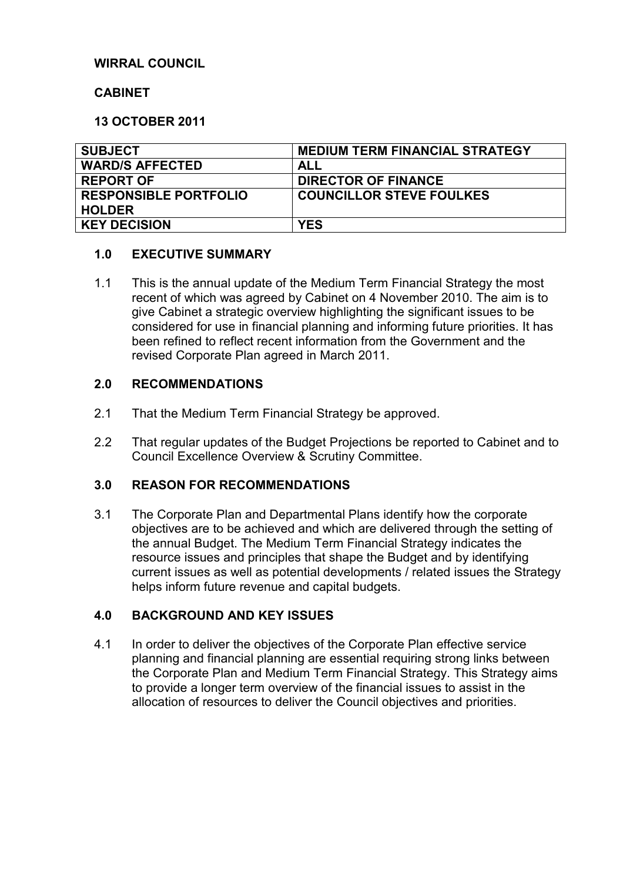## **WIRRAL COUNCIL**

### **CABINET**

### **13 OCTOBER 2011**

| <b>SUBJECT</b>               | <b>MEDIUM TERM FINANCIAL STRATEGY</b> |
|------------------------------|---------------------------------------|
| <b>WARD/S AFFECTED</b>       | ALL                                   |
| <b>REPORT OF</b>             | <b>DIRECTOR OF FINANCE</b>            |
| <b>RESPONSIBLE PORTFOLIO</b> | <b>COUNCILLOR STEVE FOULKES</b>       |
| <b>HOLDER</b>                |                                       |
| <b>KEY DECISION</b>          | <b>YES</b>                            |

### **1.0 EXECUTIVE SUMMARY**

1.1 This is the annual update of the Medium Term Financial Strategy the most recent of which was agreed by Cabinet on 4 November 2010. The aim is to give Cabinet a strategic overview highlighting the significant issues to be considered for use in financial planning and informing future priorities. It has been refined to reflect recent information from the Government and the revised Corporate Plan agreed in March 2011.

#### **2.0 RECOMMENDATIONS**

- 2.1 That the Medium Term Financial Strategy be approved.
- 2.2 That regular updates of the Budget Projections be reported to Cabinet and to Council Excellence Overview & Scrutiny Committee.

### **3.0 REASON FOR RECOMMENDATIONS**

3.1 The Corporate Plan and Departmental Plans identify how the corporate objectives are to be achieved and which are delivered through the setting of the annual Budget. The Medium Term Financial Strategy indicates the resource issues and principles that shape the Budget and by identifying current issues as well as potential developments / related issues the Strategy helps inform future revenue and capital budgets.

### **4.0 BACKGROUND AND KEY ISSUES**

4.1 In order to deliver the objectives of the Corporate Plan effective service planning and financial planning are essential requiring strong links between the Corporate Plan and Medium Term Financial Strategy. This Strategy aims to provide a longer term overview of the financial issues to assist in the allocation of resources to deliver the Council objectives and priorities.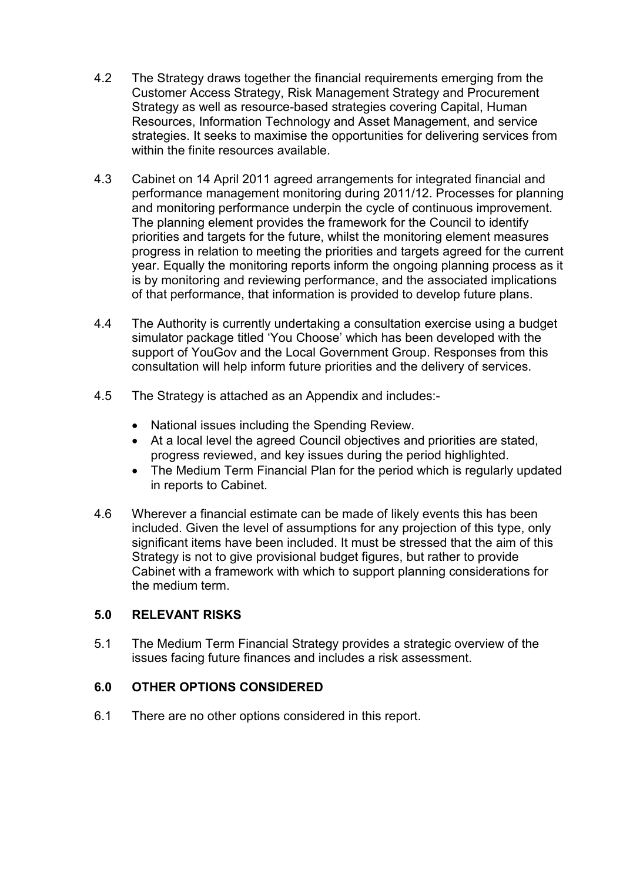- 4.2 The Strategy draws together the financial requirements emerging from the Customer Access Strategy, Risk Management Strategy and Procurement Strategy as well as resource-based strategies covering Capital, Human Resources, Information Technology and Asset Management, and service strategies. It seeks to maximise the opportunities for delivering services from within the finite resources available.
- 4.3 Cabinet on 14 April 2011 agreed arrangements for integrated financial and performance management monitoring during 2011/12. Processes for planning and monitoring performance underpin the cycle of continuous improvement. The planning element provides the framework for the Council to identify priorities and targets for the future, whilst the monitoring element measures progress in relation to meeting the priorities and targets agreed for the current year. Equally the monitoring reports inform the ongoing planning process as it is by monitoring and reviewing performance, and the associated implications of that performance, that information is provided to develop future plans.
- 4.4 The Authority is currently undertaking a consultation exercise using a budget simulator package titled 'You Choose' which has been developed with the support of YouGov and the Local Government Group. Responses from this consultation will help inform future priorities and the delivery of services.
- 4.5 The Strategy is attached as an Appendix and includes:-
	- National issues including the Spending Review.
	- At a local level the agreed Council objectives and priorities are stated, progress reviewed, and key issues during the period highlighted.
	- The Medium Term Financial Plan for the period which is regularly updated in reports to Cabinet.
- 4.6 Wherever a financial estimate can be made of likely events this has been included. Given the level of assumptions for any projection of this type, only significant items have been included. It must be stressed that the aim of this Strategy is not to give provisional budget figures, but rather to provide Cabinet with a framework with which to support planning considerations for the medium term.

# **5.0 RELEVANT RISKS**

5.1 The Medium Term Financial Strategy provides a strategic overview of the issues facing future finances and includes a risk assessment.

# **6.0 OTHER OPTIONS CONSIDERED**

6.1 There are no other options considered in this report.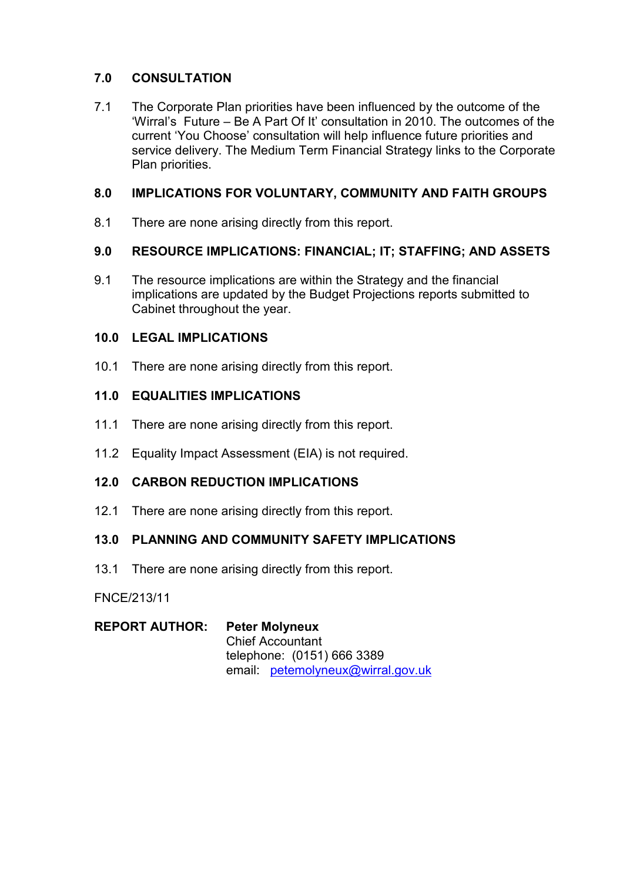# **7.0 CONSULTATION**

7.1 The Corporate Plan priorities have been influenced by the outcome of the 'Wirral's Future – Be A Part Of It' consultation in 2010. The outcomes of the current 'You Choose' consultation will help influence future priorities and service delivery. The Medium Term Financial Strategy links to the Corporate Plan priorities.

# **8.0 IMPLICATIONS FOR VOLUNTARY, COMMUNITY AND FAITH GROUPS**

8.1 There are none arising directly from this report.

# **9.0 RESOURCE IMPLICATIONS: FINANCIAL; IT; STAFFING; AND ASSETS**

9.1 The resource implications are within the Strategy and the financial implications are updated by the Budget Projections reports submitted to Cabinet throughout the year.

## **10.0 LEGAL IMPLICATIONS**

10.1 There are none arising directly from this report.

## **11.0 EQUALITIES IMPLICATIONS**

- 11.1 There are none arising directly from this report.
- 11.2 Equality Impact Assessment (EIA) is not required.

# **12.0 CARBON REDUCTION IMPLICATIONS**

12.1 There are none arising directly from this report.

# **13.0 PLANNING AND COMMUNITY SAFETY IMPLICATIONS**

13.1 There are none arising directly from this report.

FNCE/213/11

| <b>REPORT AUTHOR:</b> | <b>Peter Molyneux</b>            |  |
|-----------------------|----------------------------------|--|
|                       | <b>Chief Accountant</b>          |  |
|                       | telephone: (0151) 666 3389       |  |
|                       | email petemolyneux@wirral.gov.uk |  |